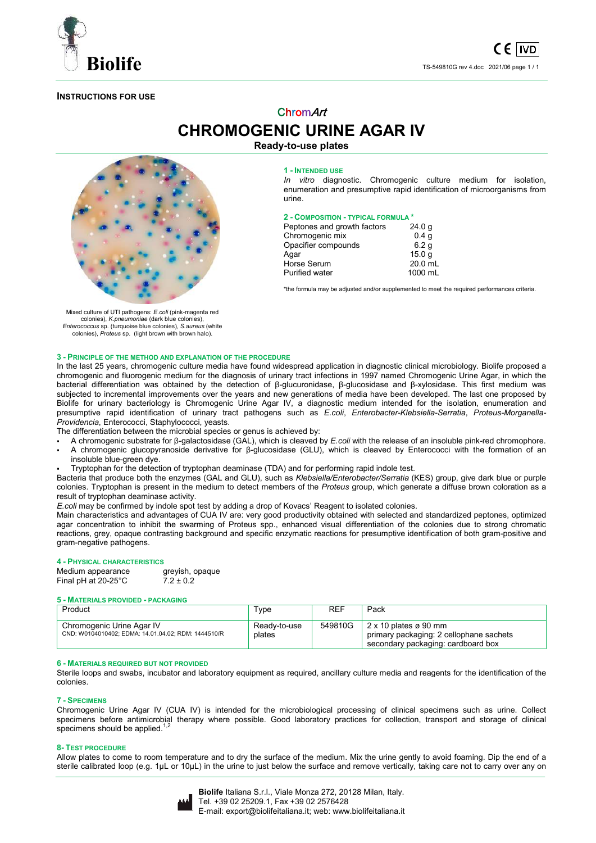

# **INSTRUCTIONS FOR USE**

# ChromArt **CHROMOGENIC URINE AGAR IV**

# **Ready-to-use plates**



#### **1 - INTENDED USE**

*In vitro* diagnostic. Chromogenic culture medium for isolation, enumeration and presumptive rapid identification of microorganisms from urine.

### **2 - COMPOSITION - TYPICAL FORMULA \***

| Peptones and growth factors | 24.0q             |
|-----------------------------|-------------------|
| Chromogenic mix             | 0.4 <sub>q</sub>  |
| Opacifier compounds         | 6.2 <sub>q</sub>  |
| Agar                        | 15.0 <sub>q</sub> |
| Horse Serum                 | 20.0 mL           |
| <b>Purified water</b>       | 1000 mL           |

\*the formula may be adjusted and/or supplemented to meet the required performances criteria.

Mixed culture of UTI pathogens: *E.coli* (pink-magenta red colonies), *K.pneumoniae* (dark blue colonies), *Enterococcus* sp. (turquoise blue colonies), *S.aureus* (white colonies), *Proteus* sp. (light brown with brown halo).

#### **3 - PRINCIPLE OF THE METHOD AND EXPLANATION OF THE PROCEDURE**

In the last 25 years, chromogenic culture media have found widespread application in diagnostic clinical microbiology. Biolife proposed a chromogenic and fluorogenic medium for the diagnosis of urinary tract infections in 1997 named Chromogenic Urine Agar, in which the bacterial differentiation was obtained by the detection of β-glucuronidase, β-glucosidase and β-xylosidase. This first medium was subjected to incremental improvements over the years and new generations of media have been developed. The last one proposed by Biolife for urinary bacteriology is Chromogenic Urine Agar IV, a diagnostic medium intended for the isolation, enumeration and presumptive rapid identification of urinary tract pathogens such as *E.coli*, *Enterobacter-Klebsiella-Serratia*, *Proteus-Morganella-Providencia*, Enterococci, Staphylococci, yeasts.

The differentiation between the microbial species or genus is achieved by:

- A chromogenic substrate for β-galactosidase (GAL), which is cleaved by *E.coli* with the release of an insoluble pink-red chromophore.
- A chromogenic glucopyranoside derivative for β-glucosidase (GLU), which is cleaved by Enterococci with the formation of an insoluble blue-green dye.
- Tryptophan for the detection of tryptophan deaminase (TDA) and for performing rapid indole test.

Bacteria that produce both the enzymes (GAL and GLU), such as *Klebsiella/Enterobacter/Serratia* (KES) group, give dark blue or purple colonies. Tryptophan is present in the medium to detect members of the *Proteus* group, which generate a diffuse brown coloration as a result of tryptophan deaminase activity.

*E.coli* may be confirmed by indole spot test by adding a drop of Kovacs' Reagent to isolated colonies.

Main characteristics and advantages of CUA IV are: very good productivity obtained with selected and standardized peptones, optimized agar concentration to inhibit the swarming of Proteus spp., enhanced visual differentiation of the colonies due to strong chromatic reactions, grey, opaque contrasting background and specific enzymatic reactions for presumptive identification of both gram-positive and gram-negative pathogens.

**4 - PHYSICAL CHARACTERISTICS** Medium appearance Final pH at  $20-25^{\circ}$ C 7.2 ± 0.2

#### **5 - MATERIALS PROVIDED - PACKAGING**

| Product                                                                          | Туре                   | REF     | Pack                                                                                                          |
|----------------------------------------------------------------------------------|------------------------|---------|---------------------------------------------------------------------------------------------------------------|
| Chromogenic Urine Agar IV<br>CND: W0104010402; EDMA: 14.01.04.02; RDM: 1444510/R | Ready-to-use<br>plates | 549810G | $2 \times 10$ plates ø 90 mm<br>primary packaging: 2 cellophane sachets<br>secondary packaging: cardboard box |

#### **6 - MATERIALS REQUIRED BUT NOT PROVIDED**

Sterile loops and swabs, incubator and laboratory equipment as required, ancillary culture media and reagents for the identification of the colonies.

# **7 - SPECIMENS**

Chromogenic Urine Agar IV (CUA IV) is intended for the microbiological processing of clinical specimens such as urine. Collect specimens before antimicrobial therapy where possible. Good laboratory practices for collection, transport and storage of clinical specimens should be applied. $1,2$ 

#### **8- TEST PROCEDURE**

Allow plates to come to room temperature and to dry the surface of the medium. Mix the urine gently to avoid foaming. Dip the end of a sterile calibrated loop (e.g. 1µL or 10µL) in the urine to just below the surface and remove vertically, taking care not to carry over any on

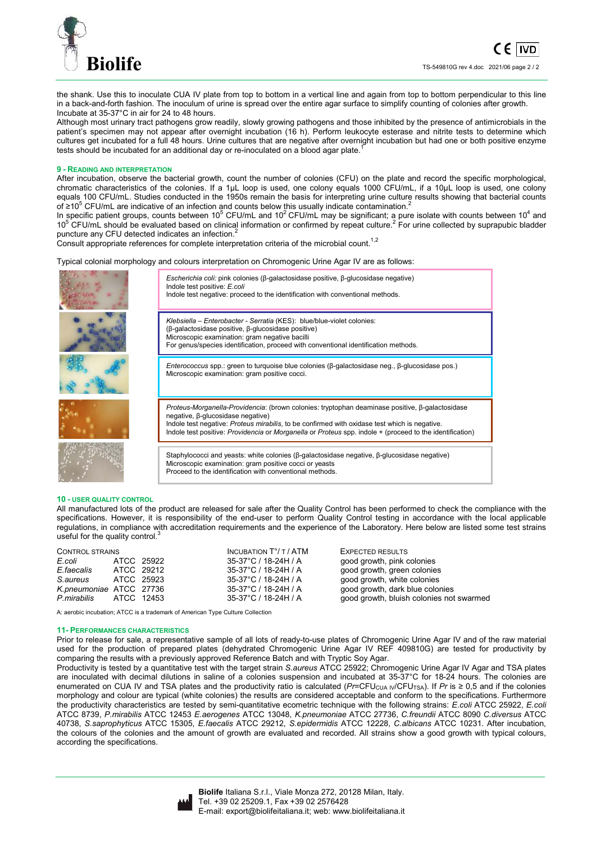

the shank. Use this to inoculate CUA IV plate from top to bottom in a vertical line and again from top to bottom perpendicular to this line in a back-and-forth fashion. The inoculum of urine is spread over the entire agar surface to simplify counting of colonies after growth. Incubate at 35-37°C in air for 24 to 48 hours.

Although most urinary tract pathogens grow readily, slowly growing pathogens and those inhibited by the presence of antimicrobials in the patient's specimen may not appear after overnight incubation (16 h). Perform leukocyte esterase and nitrite tests to determine which cultures get incubated for a full 48 hours. Urine cultures that are negative after overnight incubation but had one or both positive enzyme tests should be incubated for an additional day or re-inoculated on a blood agar plate.

#### **9 - READING AND INTERPRETATION**

After incubation, observe the bacterial growth, count the number of colonies (CFU) on the plate and record the specific morphological, chromatic characteristics of the colonies. If a 1µL loop is used, one colony equals 1000 CFU/mL, if a 10µL loop is used, one colony equals 100 CFU/mL. Studies conducted in the 1950s remain the basis for interpreting urine culture results showing that bacterial counts of ≥10<sup>5</sup> CFU/mL are indicative of an infection and counts below this usually indicate contamination.<sup>2</sup>

In specific patient groups, counts between 10<sup>5</sup> CFU/mL and 10<sup>2</sup> CFU/mL may be significant; a pure isolate with counts between 10<sup>4</sup> and<br>10<sup>5</sup> CFU/mL should be evaluated based on clinical information or confirmed by repe puncture any CFU detected indicates an infection.<sup>2</sup>

puncture any CFU detected indicates an infection.<sup>∠</sup><br>Consult appropriate references for complete interpretation criteria of the microbial count.<sup>1,2</sup>

Typical colonial morphology and colours interpretation on Chromogenic Urine Agar IV are as follows:



#### **10 - USER QUALITY CONTROL**

All manufactured lots of the product are released for sale after the Quality Control has been performed to check the compliance with the specifications. However, it is responsibility of the end-user to perform Quality Control testing in accordance with the local applicable regulations, in compliance with accreditation requirements and the experience of the Laboratory. Here below are listed some test strains useful for the quality control.<sup>3</sup>

| INCUBATION $T^{\circ}/T$ / ATM<br>EXPECTED RESULTS               |
|------------------------------------------------------------------|
| 35-37°C / 18-24H / A<br>good growth, pink colonies               |
| good growth, green colonies<br>35-37°C / 18-24H / A              |
| good growth, white colonies<br>35-37°C / 18-24H / A              |
| 35-37°C / 18-24H / A<br>good growth, dark blue colonies          |
| 35-37°C / 18-24H / A<br>good growth, bluish colonies not swarmed |
|                                                                  |

A: aerobic incubation; ATCC is a trademark of American Type Culture Collection

#### **11- PERFORMANCES CHARACTERISTICS**

Prior to release for sale, a representative sample of all lots of ready-to-use plates of Chromogenic Urine Agar IV and of the raw material used for the production of prepared plates (dehydrated Chromogenic Urine Agar IV REF 409810G) are tested for productivity by comparing the results with a previously approved Reference Batch and with Tryptic Soy Agar.

Productivity is tested by a quantitative test with the target strain *S.aureus* ATCC 25922; Chromogenic Urine Agar IV Agar and TSA plates are inoculated with decimal dilutions in saline of a colonies suspension and incubated at 35-37°C for 18-24 hours. The colonies are enumerated on CUA IV and TSA plates and the productivity ratio is calculated (*Pr*=CFU<sub>CUA IV</sub>/CFU<sub>TSA</sub>). If *Pr* is ≥ 0,5 and if the colonies morphology and colour are typical (white colonies) the results are considered acceptable and conform to the specifications. Furthermore the productivity characteristics are tested by semi-quantitative ecometric technique with the following strains: *E.coli* ATCC 25922, *E.coli* ATCC 8739, *P.mirabilis* ATCC 12453 *E.aerogenes* ATCC 13048, *K.pneumoniae* ATCC 27736, *C.freundii* ATCC 8090 *C.diversus* ATCC 40738, *S.saprophyticus* ATCC 15305, *E.faecalis* ATCC 29212, *S.epidermidis* ATCC 12228, *C.albicans* ATCC 10231. After incubation, the colours of the colonies and the amount of growth are evaluated and recorded. All strains show a good growth with typical colours, according the specifications.